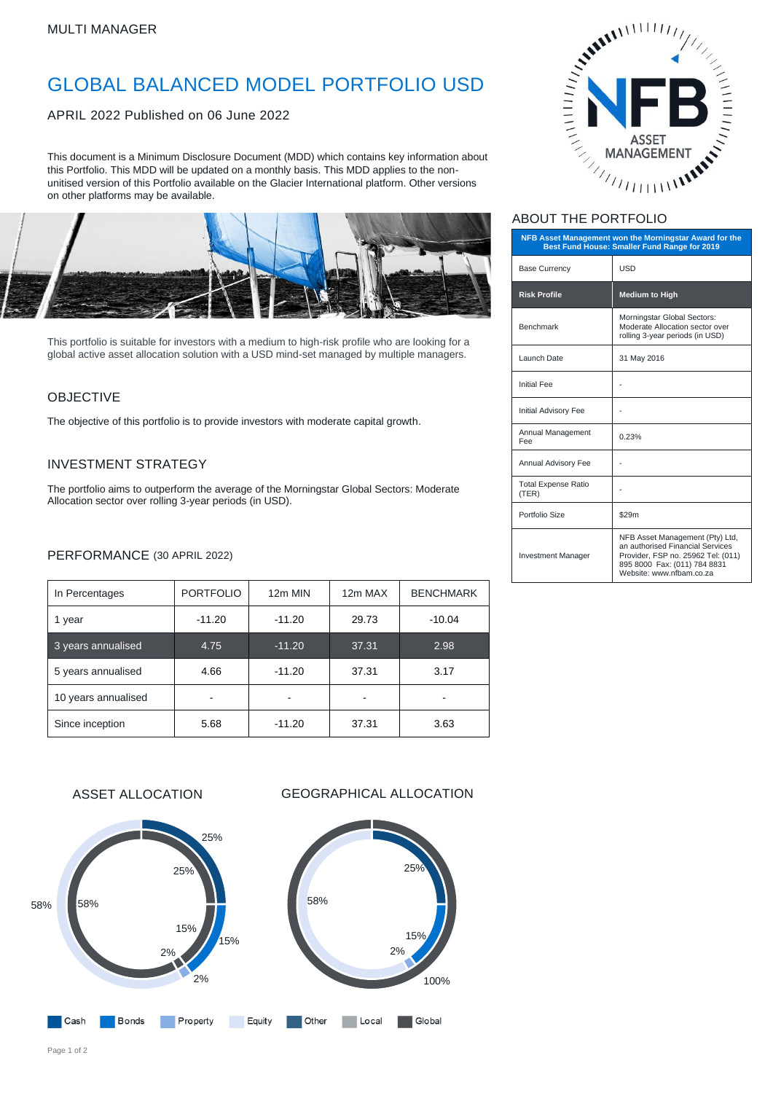# GLOBAL BALANCED MODEL PORTFOLIO USD

APRIL 2022 Published on 06 June 2022

This document is a Minimum Disclosure Document (MDD) which contains key information about this Portfolio. This MDD will be updated on a monthly basis. This MDD applies to the nonunitised version of this Portfolio available on the Glacier International platform. Other versions on other platforms may be available.



This portfolio is suitable for investors with a medium to high-risk profile who are looking for a global active asset allocation solution with a USD mind-set managed by multiple managers.

### OBJECTIVE

The objective of this portfolio is to provide investors with moderate capital growth.

### INVESTMENT STRATEGY

The portfolio aims to outperform the average of the Morningstar Global Sectors: Moderate Allocation sector over rolling 3-year periods (in USD).

#### PERFORMANCE (30 APRIL 2022)

| In Percentages      | <b>PORTFOLIO</b> | 12m MIN  | 12m MAX | <b>BENCHMARK</b> |
|---------------------|------------------|----------|---------|------------------|
| 1 year              | $-11.20$         | $-11.20$ | 29.73   | $-10.04$         |
| 3 years annualised  | 4.75             | $-11.20$ | 37.31   | 2.98             |
| 5 years annualised  | 4.66             | $-11.20$ | 37.31   | 3.17             |
| 10 years annualised |                  |          |         |                  |
| Since inception     | 5.68             | $-11.20$ | 37.31   | 3.63             |







# ABOUT THE PORTFOLIO

| NFB Asset Management won the Morningstar Award for the<br>Best Fund House: Smaller Fund Range for 2019 |                                                                                                                                                                       |  |  |
|--------------------------------------------------------------------------------------------------------|-----------------------------------------------------------------------------------------------------------------------------------------------------------------------|--|--|
| <b>Base Currency</b>                                                                                   | <b>USD</b>                                                                                                                                                            |  |  |
| <b>Risk Profile</b>                                                                                    | <b>Medium to High</b>                                                                                                                                                 |  |  |
| Benchmark                                                                                              | Morningstar Global Sectors:<br>Moderate Allocation sector over<br>rolling 3-year periods (in USD)                                                                     |  |  |
| Launch Date                                                                                            | 31 May 2016                                                                                                                                                           |  |  |
| <b>Initial Fee</b>                                                                                     |                                                                                                                                                                       |  |  |
| <b>Initial Advisory Fee</b>                                                                            |                                                                                                                                                                       |  |  |
| Annual Management<br>Fee                                                                               | 0.23%                                                                                                                                                                 |  |  |
| Annual Advisory Fee                                                                                    |                                                                                                                                                                       |  |  |
| <b>Total Expense Ratio</b><br>(TER)                                                                    |                                                                                                                                                                       |  |  |
| Portfolio Size                                                                                         | \$29m                                                                                                                                                                 |  |  |
| <b>Investment Manager</b>                                                                              | NFB Asset Management (Pty) Ltd,<br>an authorised Financial Services<br>Provider, FSP no. 25962 Tel: (011)<br>895 8000 Fax: (011) 784 8831<br>Website: www.nfbam.co.za |  |  |